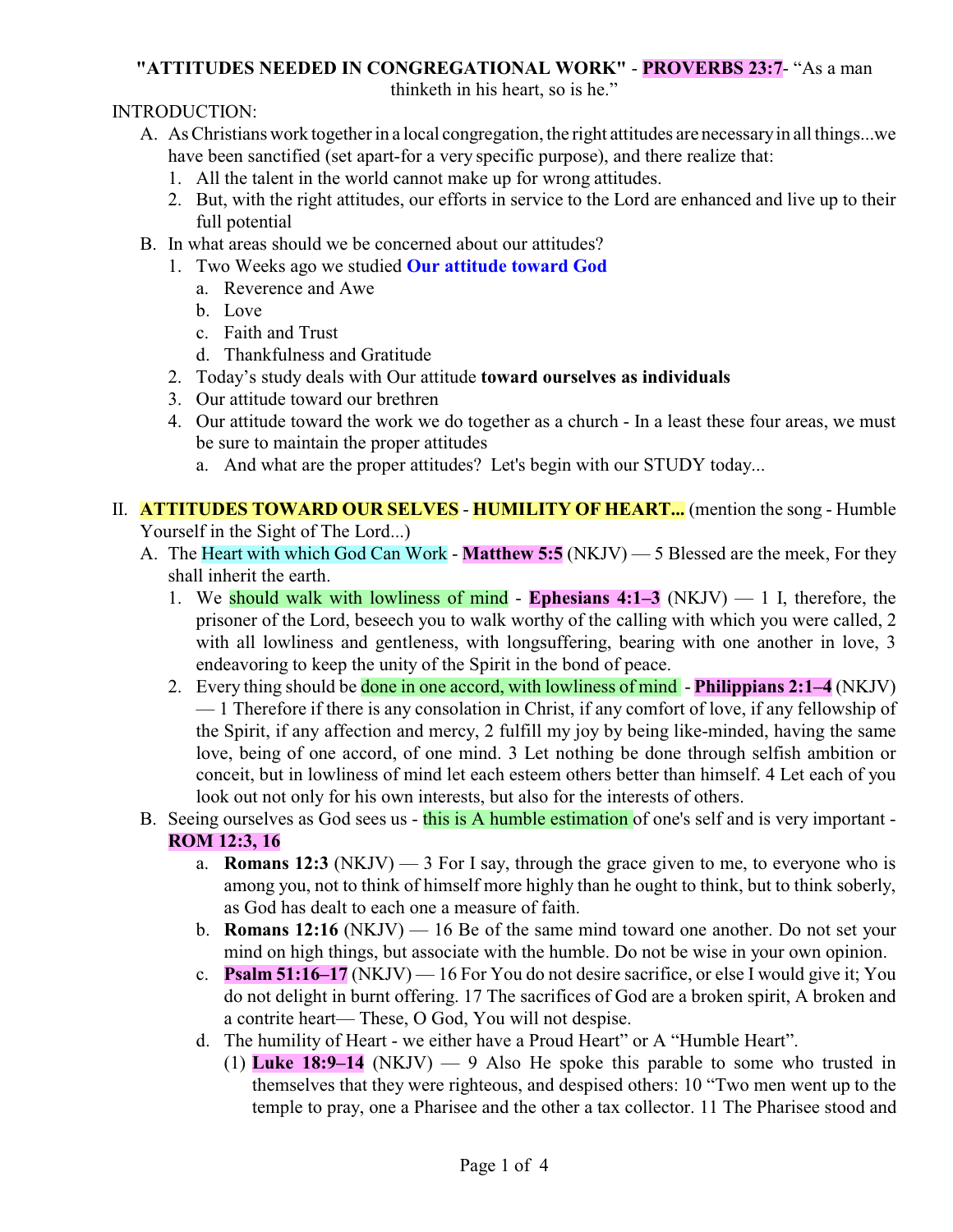## **"ATTITUDES NEEDED IN CONGREGATIONAL WORK"** - **PROVERBS 23:7**- "As a man

thinketh in his heart, so is he."

INTRODUCTION:

- A. As Christians work together in a local congregation, the right attitudes are necessaryin all things...we have been sanctified (set apart-for a very specific purpose), and there realize that:
	- 1. All the talent in the world cannot make up for wrong attitudes.
	- 2. But, with the right attitudes, our efforts in service to the Lord are enhanced and live up to their full potential
- B. In what areas should we be concerned about our attitudes?
	- 1. Two Weeks ago we studied **Our attitude toward God**
		- a. Reverence and Awe
		- b. Love
		- c. Faith and Trust
		- d. Thankfulness and Gratitude
	- 2. Today's study deals with Our attitude **toward ourselves as individuals**
	- 3. Our attitude toward our brethren
	- 4. Our attitude toward the work we do together as a church In a least these four areas, we must be sure to maintain the proper attitudes
		- a. And what are the proper attitudes? Let's begin with our STUDY today...

II. **ATTITUDES TOWARD OUR SELVES** - **HUMILITY OF HEART...** (mention the song - Humble Yourself in the Sight of The Lord...)

- A. The Heart with which God Can Work **Matthew 5:5** (NKJV) 5 Blessed are the meek, For they shall inherit the earth.
	- 1. We should walk with lowliness of mind **Ephesians 4:1–3** (NKJV) 1 I, therefore, the prisoner of the Lord, beseech you to walk worthy of the calling with which you were called, 2 with all lowliness and gentleness, with longsuffering, bearing with one another in love, 3 endeavoring to keep the unity of the Spirit in the bond of peace.
	- 2. Every thing should be done in one accord, with lowliness of mind **Philippians 2:1–4** (NKJV) — 1 Therefore if there is any consolation in Christ, if any comfort of love, if any fellowship of the Spirit, if any affection and mercy, 2 fulfill my joy by being like-minded, having the same love, being of one accord, of one mind. 3 Let nothing be done through selfish ambition or conceit, but in lowliness of mind let each esteem others better than himself. 4 Let each of you look out not only for his own interests, but also for the interests of others.
- B. Seeing ourselves as God sees us this is A humble estimation of one's self and is very important -**ROM 12:3, 16**
	- a. **Romans 12:3** (NKJV)  $-$  3 For I say, through the grace given to me, to everyone who is among you, not to think of himself more highly than he ought to think, but to think soberly, as God has dealt to each one a measure of faith.
	- b. **Romans 12:16** (NKJV) 16 Be of the same mind toward one another. Do not set your mind on high things, but associate with the humble. Do not be wise in your own opinion.
	- c. **Psalm 51:16–17** (NKJV) 16 For You do not desire sacrifice, or else I would give it; You do not delight in burnt offering. 17 The sacrifices of God are a broken spirit, A broken and a contrite heart— These, O God, You will not despise.
	- d. The humility of Heart we either have a Proud Heart" or A "Humble Heart".
		- (1) **Luke 18:9–14** (NKJV) 9 Also He spoke this parable to some who trusted in themselves that they were righteous, and despised others: 10 "Two men went up to the temple to pray, one a Pharisee and the other a tax collector. 11 The Pharisee stood and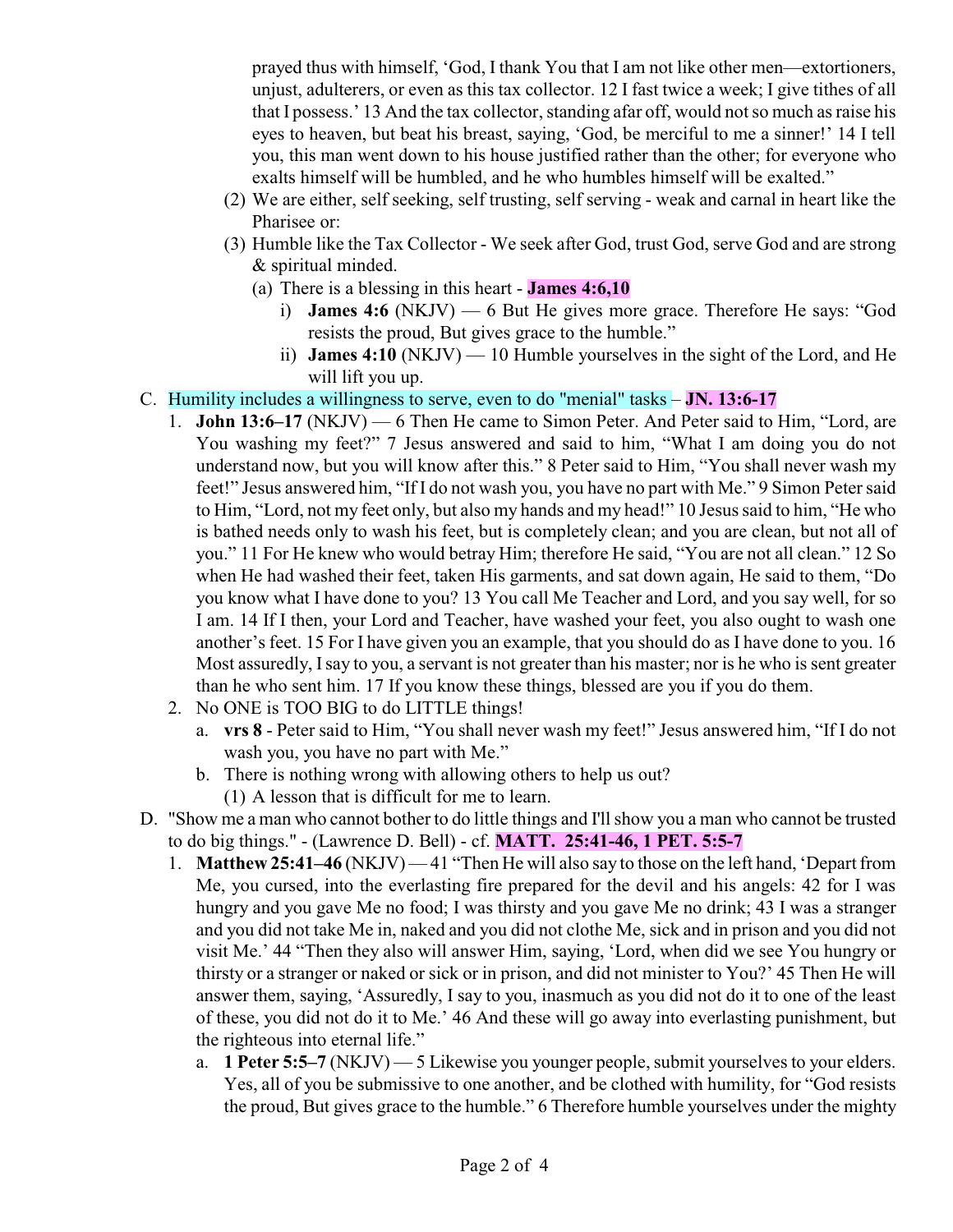prayed thus with himself, 'God, I thank You that I am not like other men—extortioners, unjust, adulterers, or even as this tax collector. 12 I fast twice a week; I give tithes of all that I possess.' 13 And the tax collector, standing afar off, would not so much as raise his eyes to heaven, but beat his breast, saying, 'God, be merciful to me a sinner!' 14 I tell you, this man went down to his house justified rather than the other; for everyone who exalts himself will be humbled, and he who humbles himself will be exalted."

- (2) We are either, self seeking, self trusting, self serving weak and carnal in heart like the Pharisee or:
- (3) Humble like the Tax Collector We seek after God, trust God, serve God and are strong & spiritual minded.
	- (a) There is a blessing in this heart **James 4:6,10**
		- i) **James 4:6** (NKJV) 6 But He gives more grace. Therefore He says: "God resists the proud, But gives grace to the humble."
		- ii) **James 4:10** (NKJV) 10 Humble yourselves in the sight of the Lord, and He will lift you up.
- C. Humility includes a willingness to serve, even to do "menial" tasks **JN. 13:6-17**
	- 1. **John 13:6–17** (NKJV) 6 Then He came to Simon Peter. And Peter said to Him, "Lord, are You washing my feet?" 7 Jesus answered and said to him, "What I am doing you do not understand now, but you will know after this." 8 Peter said to Him, "You shall never wash my feet!" Jesus answered him, "If I do not wash you, you have no part with Me." 9 Simon Peter said to Him, "Lord, not my feet only, but also my hands and my head!" 10 Jesus said to him, "He who is bathed needs only to wash his feet, but is completely clean; and you are clean, but not all of you." 11 For He knew who would betray Him; therefore He said, "You are not all clean." 12 So when He had washed their feet, taken His garments, and sat down again, He said to them, "Do you know what I have done to you? 13 You call Me Teacher and Lord, and you say well, for so I am. 14 If I then, your Lord and Teacher, have washed your feet, you also ought to wash one another's feet. 15 For I have given you an example, that you should do as I have done to you. 16 Most assuredly, I say to you, a servant is not greater than his master; nor is he who is sent greater than he who sent him. 17 If you know these things, blessed are you if you do them.
	- 2. No ONE is TOO BIG to do LITTLE things!
		- a. **vrs 8** Peter said to Him, "You shall never wash my feet!" Jesus answered him, "If I do not wash you, you have no part with Me."
		- b. There is nothing wrong with allowing others to help us out?
			- (1) A lesson that is difficult for me to learn.
- D. "Show me a man who cannot bother to do little things and I'll show you a man who cannot be trusted to do big things." - (Lawrence D. Bell) - cf. **MATT. 25:41-46, 1 PET. 5:5-7**
	- 1. **Matthew 25:41–46** (NKJV) 41 "Then He will also say to those on the left hand, 'Depart from Me, you cursed, into the everlasting fire prepared for the devil and his angels: 42 for I was hungry and you gave Me no food; I was thirsty and you gave Me no drink; 43 I was a stranger and you did not take Me in, naked and you did not clothe Me, sick and in prison and you did not visit Me.' 44 "Then they also will answer Him, saying, 'Lord, when did we see You hungry or thirsty or a stranger or naked or sick or in prison, and did not minister to You?' 45 Then He will answer them, saying, 'Assuredly, I say to you, inasmuch as you did not do it to one of the least of these, you did not do it to Me.' 46 And these will go away into everlasting punishment, but the righteous into eternal life."
		- a. **1 Peter 5:5–7** (NKJV) 5 Likewise you younger people, submit yourselves to your elders. Yes, all of you be submissive to one another, and be clothed with humility, for "God resists the proud, But gives grace to the humble." 6 Therefore humble yourselves under the mighty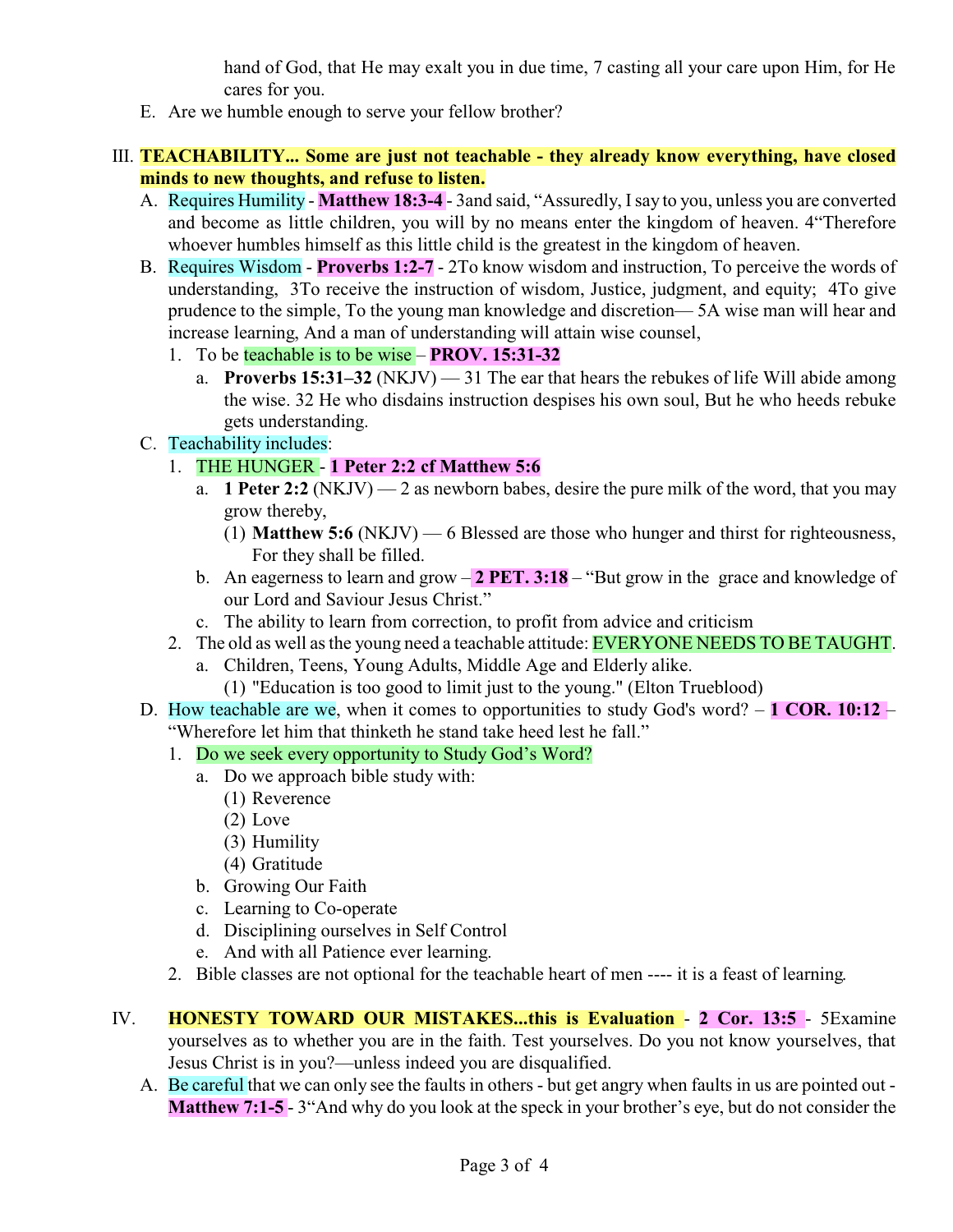hand of God, that He may exalt you in due time, 7 casting all your care upon Him, for He cares for you.

E. Are we humble enough to serve your fellow brother?

## III. **TEACHABILITY... Some are just not teachable - they already know everything, have closed minds to new thoughts, and refuse to listen.**

- A. Requires Humility **Matthew 18:3-4**  3and said, "Assuredly, Isay to you, unless you are converted and become as little children, you will by no means enter the kingdom of heaven. 4"Therefore whoever humbles himself as this little child is the greatest in the kingdom of heaven.
- B. Requires Wisdom **Proverbs 1:2-7** 2To know wisdom and instruction, To perceive the words of understanding, 3To receive the instruction of wisdom, Justice, judgment, and equity; 4To give prudence to the simple, To the young man knowledge and discretion— 5A wise man will hear and increase learning, And a man of understanding will attain wise counsel,
	- 1. To be teachable is to be wise **PROV. 15:31-32**
		- a. **Proverbs 15:31–32** (NKJV) 31 The ear that hears the rebukes of life Will abide among the wise. 32 He who disdains instruction despises his own soul, But he who heeds rebuke gets understanding.
- C. Teachability includes:
	- 1. THE HUNGER **1 Peter 2:2 cf Matthew 5:6**
		- a. **1 Peter 2:2** (NKJV) 2 as newborn babes, desire the pure milk of the word, that you may grow thereby,
			- (1) **Matthew 5:6** (NKJV) 6 Blessed are those who hunger and thirst for righteousness, For they shall be filled.
		- b. An eagerness to learn and grow **2 PET. 3:18** "But grow in the grace and knowledge of our Lord and Saviour Jesus Christ."
		- c. The ability to learn from correction, to profit from advice and criticism
	- 2. The old as well as the young need a teachable attitude: EVERYONE NEEDS TO BE TAUGHT.
		- a. Children, Teens, Young Adults, Middle Age and Elderly alike. (1) "Education is too good to limit just to the young." (Elton Trueblood)
- D. How teachable are we, when it comes to opportunities to study God's word? **1 COR. 10:12**  "Wherefore let him that thinketh he stand take heed lest he fall."
	- 1. Do we seek every opportunity to Study God's Word?
		- a. Do we approach bible study with:
			- (1) Reverence
			- (2) Love
			- (3) Humility
			- (4) Gratitude
		- b. Growing Our Faith
		- c. Learning to Co-operate
		- d. Disciplining ourselves in Self Control
		- e. And with all Patience ever learning.
	- 2. Bible classes are not optional for the teachable heart of men ---- it is a feast of learning.
- IV. **HONESTY TOWARD OUR MISTAKES...this is Evaluation 2 Cor. 13:5**  5Examine yourselves as to whether you are in the faith. Test yourselves. Do you not know yourselves, that Jesus Christ is in you?—unless indeed you are disqualified.
	- A. Be careful that we can only see the faults in others but get angry when faults in us are pointed out **Matthew 7:1-5** - 3"And why do you look at the speck in your brother's eye, but do not consider the